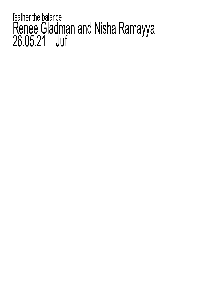## feather the balance Renee Gladman and Nisha Ramayya 26.05.21 Juf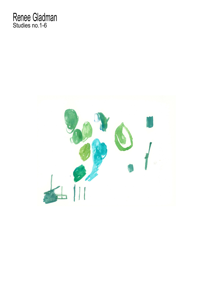Renee Gladman Studies no.1-6

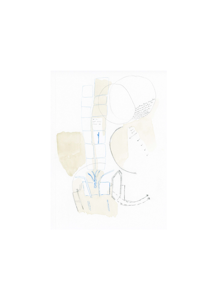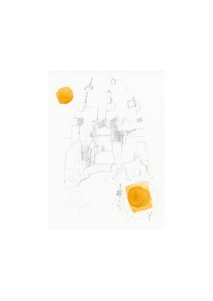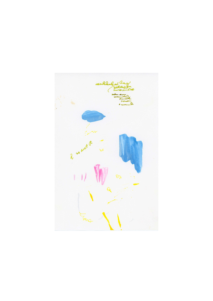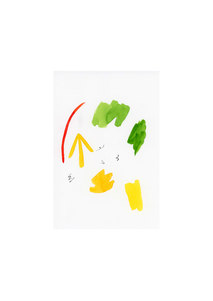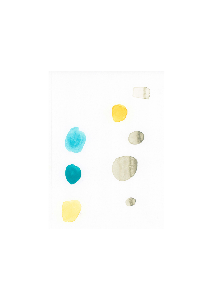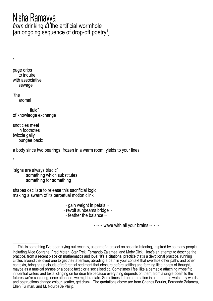## Nisha Ramayya from drinking at the artificial wormhole [an ongoing sequence of drop-off poetry<sup>1</sup>]

\*

page drips to inquire with associative sewage

"the

aromal

fluid" of knowledge exchange

snoticles meet in footnotes twizzle gaily bungee back:

a body since two bearings, frozen in a warm room, yields to your lines

\*

"signs are always triadic" something which substitutes something for something

shapes oscillate to release this sacrificial logic making a swarm of its perpetual motion clink

> $\sim$  gain weight in petals  $\sim$  $\sim$  revolt sunbeams bridge  $\sim$  $\sim$  feather the balance  $\sim$

> > $\sim$  ~  $\sim$  wave with all your brains ~ ~ ~

<sup>1.</sup> This is something I've been trying out recently, as part of a project on oceanic listening, inspired by so many people including Alice Coltrane, Fred Moten, Star Trek, Fernando Zalamea, and Moby Dick. Here's an attempt to describe the practice, from a recent piece on mathematics and love: 'It's a citational practice that's a devotional practice, running circles around the loved one to get their attention, abrading a path in your context that overlaps other paths and other contexts, bringing up clouds of referential sediment that obscure before settling and forming little heaps of thought, maybe as a musical phrase or a poetic tactic or a socialised tic. Sometimes I feel like a barnacle attaching myself to influential writers and texts, clinging on for dear life because everything depends on them, from a single poem to the futures we're conjuring; once attached, we might radiate. Sometimes I drop a quotation into a poem to watch my words and obstructions change colour, scatter, get drunk.' The quotations above are from Charles Fourier, Fernando Zalamea, Ellen Fullman, and M. NourbeSe Philip.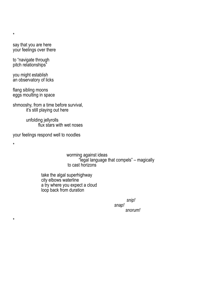say that you are here your feelings over there

to "navigate through pitch relationships"

you might establish an observatory of licks

flang sibling moons eggs moulting in space

shmooshy, from a time before survival, it's still playing out here

> unfolding jellyrolls flux stars with wet noses

your feelings respond well to noodles

\*

\*

\*

worming against ideas "legal language that compels" – magically to cast horizons

take the algal superhighway city elbows waterline a try where you expect a cloud loop back from duration

> *snip! snap! snorum!*